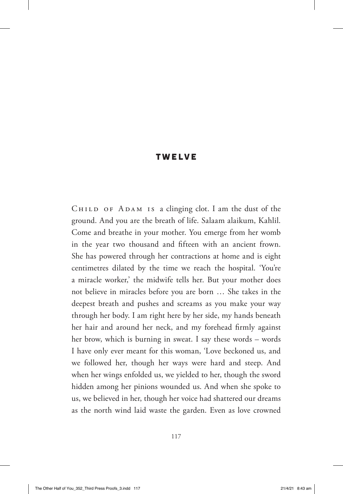## TWELVE

CHILD OF ADAM IS a clinging clot. I am the dust of the ground. And you are the breath of life. Salaam alaikum, Kahlil. Come and breathe in your mother. You emerge from her womb in the year two thousand and fifteen with an ancient frown. She has powered through her contractions at home and is eight centimetres dilated by the time we reach the hospital. 'You're a miracle worker,' the midwife tells her. But your mother does not believe in miracles before you are born … She takes in the deepest breath and pushes and screams as you make your way through her body. I am right here by her side, my hands beneath her hair and around her neck, and my forehead firmly against her brow, which is burning in sweat. I say these words – words I have only ever meant for this woman, 'Love beckoned us, and we followed her, though her ways were hard and steep. And when her wings enfolded us, we yielded to her, though the sword hidden among her pinions wounded us. And when she spoke to us, we believed in her, though her voice had shattered our dreams as the north wind laid waste the garden. Even as love crowned